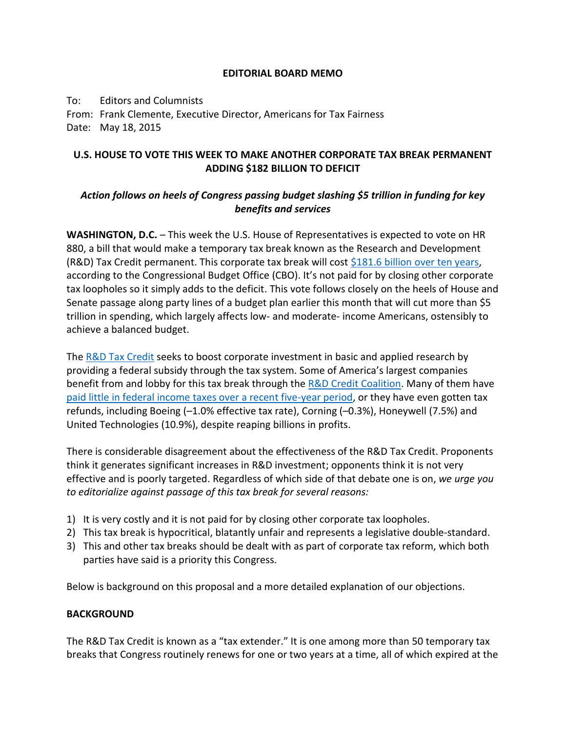## **EDITORIAL BOARD MEMO**

To: Editors and Columnists From: Frank Clemente, Executive Director, Americans for Tax Fairness Date: May 18, 2015

# **U.S. HOUSE TO VOTE THIS WEEK TO MAKE ANOTHER CORPORATE TAX BREAK PERMANENT ADDING \$182 BILLION TO DEFICIT**

# *Action follows on heels of Congress passing budget slashing \$5 trillion in funding for key benefits and services*

**WASHINGTON, D.C.** – This week the U.S. House of Representatives is expected to vote on HR 880, a bill that would make a temporary tax break known as the Research and Development (R&D) Tax Credit permanent. This corporate tax break will cost  $$181.6$  billion over ten years, according to the Congressional Budget Office (CBO). It's not paid for by closing other corporate tax loopholes so it simply adds to the deficit. This vote follows closely on the heels of House and Senate passage along party lines of a budget plan earlier this month that will cut more than \$5 trillion in spending, which largely affects low- and moderate- income Americans, ostensibly to achieve a balanced budget.

The [R&D Tax Credit](https://www.fas.org/sgp/crs/misc/RL31181.pdf) seeks to boost corporate investment in basic and applied research by providing a federal subsidy through the tax system. Some of America's largest companies benefit from and lobby for this tax break through the [R&D Credit Coalition.](http://investinamericasfuture.org/member_companies.html) Many of them have [paid little in federal income taxes over a recent five-year period,](http://www.americansfortaxfairness.org/files/2015-05-19-Press-Release-ATF-slams-House-for-RD-Extender-and-Credit-Coalition-v3.pdf) or they have even gotten tax refunds, including Boeing (–1.0% effective tax rate), Corning (–0.3%), Honeywell (7.5%) and United Technologies (10.9%), despite reaping billions in profits.

There is considerable disagreement about the effectiveness of the R&D Tax Credit. Proponents think it generates significant increases in R&D investment; opponents think it is not very effective and is poorly targeted. Regardless of which side of that debate one is on, *we urge you to editorialize against passage of this tax break for several reasons:*

- 1) It is very costly and it is not paid for by closing other corporate tax loopholes.
- 2) This tax break is hypocritical, blatantly unfair and represents a legislative double-standard.
- 3) This and other tax breaks should be dealt with as part of corporate tax reform, which both parties have said is a priority this Congress.

Below is background on this proposal and a more detailed explanation of our objections.

### **BACKGROUND**

The R&D Tax Credit is known as a "tax extender." It is one among more than 50 temporary tax breaks that Congress routinely renews for one or two years at a time, all of which expired at the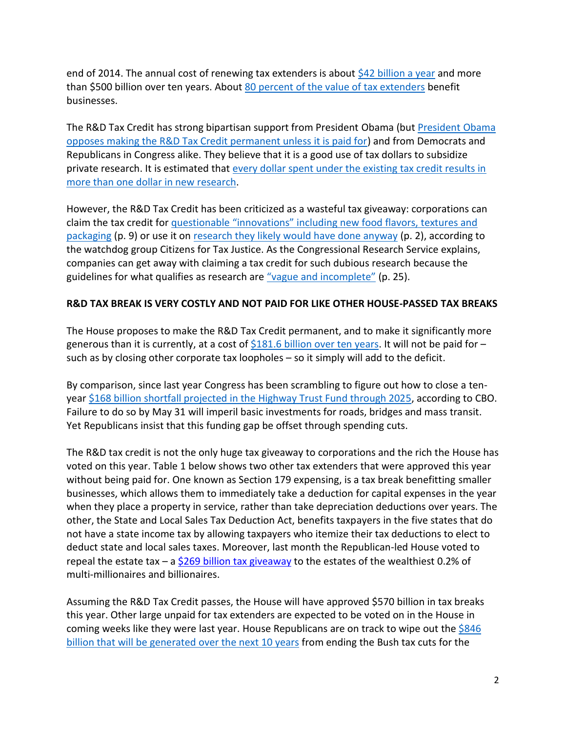end of 2014. The annual cost of renewing tax extenders is about [\\$42 billion a year](https://www.jct.gov/publications.html?func=startdown&id=4677) and more than [\\$500 billion over ten years.](http://www.cbpp.org/research/federal-tax/house-efforts-to-make-tax-extenders-permanent-are-ill-advised#_ftn13) About [80 percent of the value of tax extenders](http://www.americansfortaxfairness.org/files/JCT-Costs-of-Extending-EXPIRE-Act-Tax-Provisions-by-ATF-FINAL-1-1.pdf) benefit businesses.

The R&D Tax Credit has strong bipartisan support from President Obama (but [President Obama](https://www.whitehouse.gov/sites/default/files/omb/legislative/sap/113/saphr4438r_20140506.pdf)  [opposes making the R&D Tax Credit permanent unless it is paid for\)](https://www.whitehouse.gov/sites/default/files/omb/legislative/sap/113/saphr4438r_20140506.pdf) and from Democrats and Republicans in Congress alike. They believe that it is a good use of tax dollars to subsidize private research. It is estimated that [every dollar spent under the existing tax credit results in](http://www.epi.org/publication/tax-extenders/)  [more than one dollar in new research.](http://www.epi.org/publication/tax-extenders/)

However, the R&D Tax Credit has been criticized as a wasteful tax giveaway: corporations can claim the tax credit for [questionable "innovations" including new food flavors, textures and](http://www.ctj.org/pdf/researchcredit.pdf)  [packaging](http://www.ctj.org/pdf/researchcredit.pdf) (p. 9) or use it on [research they likely would have done anyway](http://www.ctj.org/pdf/researchcredit.pdf) (p. 2), according to the watchdog group Citizens for Tax Justice. As the Congressional Research Service explains, companies can get away with claiming a tax credit for such dubious research because the guidelines for what qualifies as research are ["vague and incomplete"](https://www.fas.org/sgp/crs/misc/RL31181.pdf) (p. 25).

## **R&D TAX BREAK IS VERY COSTLY AND NOT PAID FOR LIKE OTHER HOUSE-PASSED TAX BREAKS**

The House proposes to make the R&D Tax Credit permanent, and to make it significantly more generous than it is currently, at a cost of  $$181.6$  billion over ten years. It will not be paid for – such as by closing other corporate tax loopholes – so it simply will add to the deficit.

By comparison, since last year Congress has been scrambling to figure out how to close a tenyear \$168 [billion shortfall projected in the Highway Trust Fund through 2025,](https://www.cbo.gov/sites/default/files/cbofiles/attachments/43884-2015-01-HighwayTrustFund.pdf) according to CBO. Failure to do so by May 31 will imperil basic investments for roads, bridges and mass transit. Yet Republicans insist that this funding gap be offset through spending cuts.

The R&D tax credit is not the only huge tax giveaway to corporations and the rich the House has voted on this year. Table 1 below shows two other tax extenders that were approved this year without being paid for. One known as Section 179 expensing, is a tax break benefitting smaller businesses, which allows them to immediately take a deduction for capital expenses in the year when they place a property in service, rather than take depreciation deductions over years. The other, the State and Local Sales Tax Deduction Act, benefits taxpayers in the five states that do not have a state income tax by allowing taxpayers who itemize their tax deductions to elect to deduct state and local sales taxes. Moreover, last month the Republican-led House voted to repeal the estate tax – a [\\$269 billion tax giveaway](http://democrats.waysandmeans.house.gov/press-release/jct-estate-tax-repeal-costs-269-billion-benefits-tiny-number-very-wealthy) to the estates of the wealthiest 0.2% of multi-millionaires and billionaires.

Assuming the R&D Tax Credit passes, the House will have approved \$570 billion in tax breaks this year. Other large unpaid for tax extenders are expected to be voted on in the House in coming weeks like they were last year. House Republicans are on track to wipe out the  $$846$ [billion that will be generated over the next 10 years](http://www.cbpp.org/research/federal-tax/house-efforts-to-make-tax-extenders-permanent-are-ill-advised) from ending the Bush tax cuts for the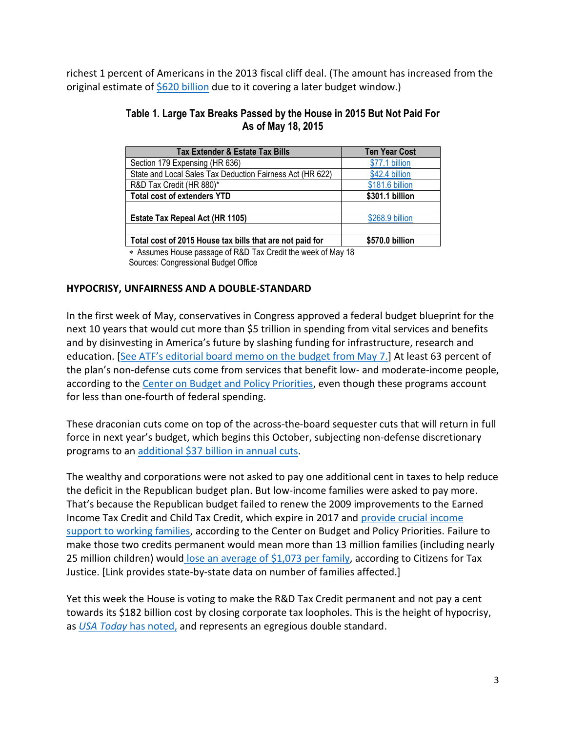richest 1 percent of Americans in the 2013 fiscal cliff deal. (The amount has increased from the original estimate of  $$620$  billion due to it covering a later budget window.)

# **Table 1. Large Tax Breaks Passed by the House in 2015 But Not Paid For As of May 18, 2015**

| <b>Tax Extender &amp; Estate Tax Bills</b>                | <b>Ten Year Cost</b> |
|-----------------------------------------------------------|----------------------|
| Section 179 Expensing (HR 636)                            | \$77.1 billion       |
| State and Local Sales Tax Deduction Fairness Act (HR 622) | \$42.4 billion       |
| R&D Tax Credit (HR 880)*                                  | \$181.6 billion      |
| <b>Total cost of extenders YTD</b>                        | \$301.1 billion      |
|                                                           |                      |
| <b>Estate Tax Repeal Act (HR 1105)</b>                    | \$268.9 billion      |
|                                                           |                      |
| Total cost of 2015 House tax bills that are not paid for  | \$570.0 billion      |
|                                                           |                      |

 Assumes House passage of R&D Tax Credit the week of May 18 Sources: Congressional Budget Office

# **HYPOCRISY, UNFAIRNESS AND A DOUBLE-STANDARD**

In the first week of May, conservatives in Congress approved a federal budget blueprint for the next 10 years that would cut more than \$5 trillion in spending from vital services and benefits and by disinvesting in America's future by slashing funding for infrastructure, research and education. [See A[TF's editorial board memo on the budget from May 7.](http://www.americansfortaxfairness.org/files/2015-05-07-Editorial-board-memo-on-budget-agreement-FINAL1.pdf)] At least 63 percent of the plan's non-defense cuts come from services that benefit low- and moderate-income people, according to the [Center on Budget and Policy Priorities,](http://www.cbpp.org/research/federal-budget/ten-serious-flaws-in-the-congressional-budget-plan) even though these programs account for less than one-fourth of federal spending.

These draconian cuts come on top of the across-the-board sequester cuts that will return in full force in next year's budget, which begins this October, subjecting non-defense discretionary programs to an [additional \\$37 billion in annual cuts.](http://www.cbpp.org/research/federal-budget/ten-serious-flaws-in-the-congressional-budget-plan)

The wealthy and corporations were not asked to pay one additional cent in taxes to help reduce the deficit in the Republican budget plan. But low-income families were asked to pay more. That's because the Republican budget failed to renew the 2009 improvements to the Earned Income Tax Credit and Child Tax Credit, which expire in 2017 and [provide crucial income](http://www.cbpp.org/research/eitc-and-child-tax-credit-promote-work-reduce-poverty-and-support-childrens-development) [support to working families,](http://www.cbpp.org/research/eitc-and-child-tax-credit-promote-work-reduce-poverty-and-support-childrens-development) according to the Center on Budget and Policy Priorities. Failure to make those two credits permanent would mean more than 13 million families (including nearly 25 million children) would [lose an average of](http://ctj.org/ctjreports/2015/02/making_the_eitc_and_ctc_expansions_permanent_would_benefit_13_million_working_families.php#.VVKW2pMYPje) \$1,073 per family, according to Citizens for Tax Justice. [Link provides state-by-state data on number of families affected.]

Yet this week the House is voting to make the R&D Tax Credit permanent and not pay a cent towards its \$182 billion cost by closing corporate tax loopholes. This is the height of hypocrisy, as *[USA Today](http://www.usatoday.com/story/opinion/2014/12/02/tax-extenders-congress-house-taxpayers-editorials-debates/19804879/)* has noted, and represents an egregious double standard.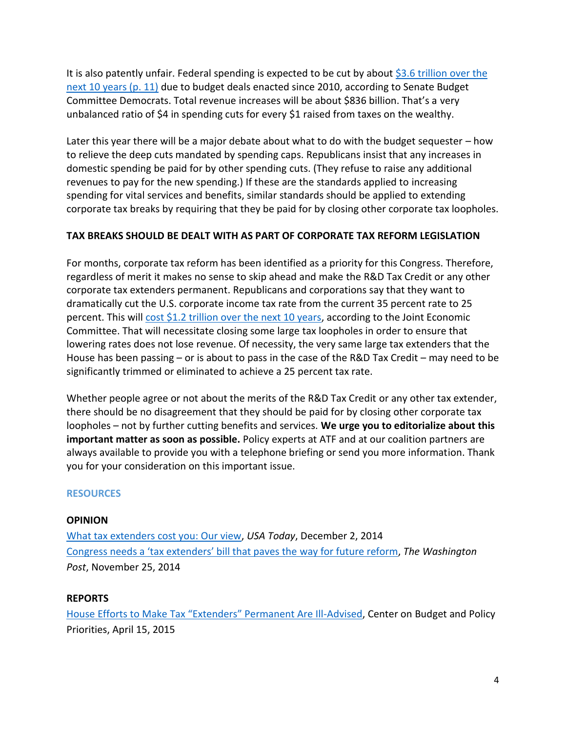It is also patently unfair. Federal spending is expected to be cut by about [\\$3.6 trillion over the](http://www.budget.senate.gov/democratic/public/_cache/files/ca28afb2-456a-440e-a2ba-699587c984b4/the-republican-budget-a-massive-transfer-of-wealth-from-the-middle-class-to-millionaires-and-billionaires.pdf)  [next 10 years \(p. 11\)](http://www.budget.senate.gov/democratic/public/_cache/files/ca28afb2-456a-440e-a2ba-699587c984b4/the-republican-budget-a-massive-transfer-of-wealth-from-the-middle-class-to-millionaires-and-billionaires.pdf) due to budget deals enacted since 2010, according to Senate Budget Committee Democrats. Total revenue increases will be about \$836 billion. That's a very unbalanced ratio of \$4 in spending cuts for every \$1 raised from taxes on the wealthy.

Later this year there will be a major debate about what to do with the budget sequester – how to relieve the deep cuts mandated by spending caps. Republicans insist that any increases in domestic spending be paid for by other spending cuts. (They refuse to raise any additional revenues to pay for the new spending.) If these are the standards applied to increasing spending for vital services and benefits, similar standards should be applied to extending corporate tax breaks by requiring that they be paid for by closing other corporate tax loopholes.

# **TAX BREAKS SHOULD BE DEALT WITH AS PART OF CORPORATE TAX REFORM LEGISLATION**

For months, corporate tax reform has been identified as a priority for this Congress. Therefore, regardless of merit it makes no sense to skip ahead and make the R&D Tax Credit or any other corporate tax extenders permanent. Republicans and corporations say that they want to dramatically cut the U.S. corporate income tax rate from the current 35 percent rate to 25 percent. This will [cost \\$1.2 trillion over the next 10 years,](http://democrats.waysandmeans.house.gov/sites/democrats.waysandmeans.house.gov/files/Scan001.pdf) according to the Joint Economic Committee. That will necessitate closing some large tax loopholes in order to ensure that lowering rates does not lose revenue. Of necessity, the very same large tax extenders that the House has been passing – or is about to pass in the case of the R&D Tax Credit – may need to be significantly trimmed or eliminated to achieve a 25 percent tax rate.

Whether people agree or not about the merits of the R&D Tax Credit or any other tax extender, there should be no disagreement that they should be paid for by closing other corporate tax loopholes – not by further cutting benefits and services. **We urge you to editorialize about this important matter as soon as possible.** Policy experts at ATF and at our coalition partners are always available to provide you with a telephone briefing or send you more information. Thank you for your consideration on this important issue.

### **RESOURCES**

### **OPINION**

[What tax extenders cost you: Our view,](http://www.usatoday.com/story/opinion/2014/12/02/tax-extenders-congress-house-taxpayers-editorials-debates/19804879/) *USA Today*, December 2, 2014 [Congress needs a 'tax extenders' bill that paves the](http://www.washingtonpost.com/opinions/congresss-tax-talks-threaten-to-blow-a-new-hole-in-the-budget/2014/11/25/ffd86d18-74e2-11e4-a755-e32227229e7b_story.html) way for future reform, *The Washington Post*, November 25, 2014

### **REPORTS**

[House Efforts to Make Tax "Extenders" Permanent Are Ill](http://www.cbpp.org/research/federal-tax/house-efforts-to-make-tax-extenders-permanent-are-ill-advised)-Advised, Center on Budget and Policy Priorities, April 15, 2015